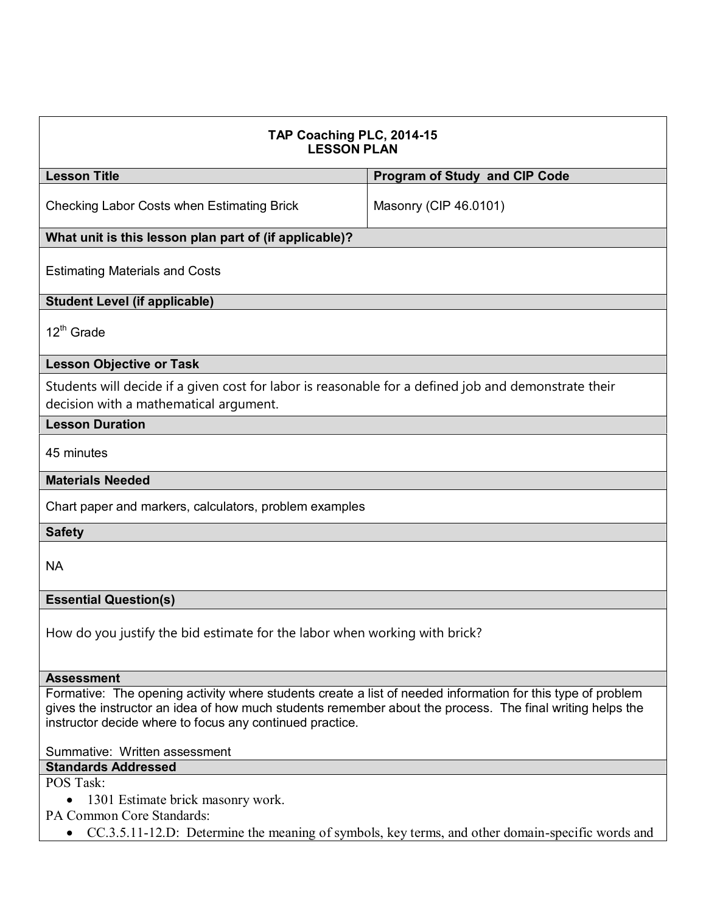| TAP Coaching PLC, 2014-15<br><b>LESSON PLAN</b>                                                                                                                                                                                                                                      |                                      |  |
|--------------------------------------------------------------------------------------------------------------------------------------------------------------------------------------------------------------------------------------------------------------------------------------|--------------------------------------|--|
| <b>Lesson Title</b>                                                                                                                                                                                                                                                                  | <b>Program of Study and CIP Code</b> |  |
| Checking Labor Costs when Estimating Brick                                                                                                                                                                                                                                           | Masonry (CIP 46.0101)                |  |
| What unit is this lesson plan part of (if applicable)?                                                                                                                                                                                                                               |                                      |  |
| <b>Estimating Materials and Costs</b>                                                                                                                                                                                                                                                |                                      |  |
| <b>Student Level (if applicable)</b>                                                                                                                                                                                                                                                 |                                      |  |
| $12th$ Grade                                                                                                                                                                                                                                                                         |                                      |  |
| <b>Lesson Objective or Task</b>                                                                                                                                                                                                                                                      |                                      |  |
| Students will decide if a given cost for labor is reasonable for a defined job and demonstrate their<br>decision with a mathematical argument.                                                                                                                                       |                                      |  |
| <b>Lesson Duration</b>                                                                                                                                                                                                                                                               |                                      |  |
| 45 minutes                                                                                                                                                                                                                                                                           |                                      |  |
| <b>Materials Needed</b>                                                                                                                                                                                                                                                              |                                      |  |
| Chart paper and markers, calculators, problem examples                                                                                                                                                                                                                               |                                      |  |
| <b>Safety</b>                                                                                                                                                                                                                                                                        |                                      |  |
| <b>NA</b>                                                                                                                                                                                                                                                                            |                                      |  |
| <b>Essential Question(s)</b>                                                                                                                                                                                                                                                         |                                      |  |
| How do you justify the bid estimate for the labor when working with brick?                                                                                                                                                                                                           |                                      |  |
| <b>Assessment</b>                                                                                                                                                                                                                                                                    |                                      |  |
| Formative: The opening activity where students create a list of needed information for this type of problem<br>gives the instructor an idea of how much students remember about the process. The final writing helps the<br>instructor decide where to focus any continued practice. |                                      |  |
| Summative: Written assessment                                                                                                                                                                                                                                                        |                                      |  |
| <b>Standards Addressed</b>                                                                                                                                                                                                                                                           |                                      |  |
| POS Task:                                                                                                                                                                                                                                                                            |                                      |  |
| 1301 Estimate brick masonry work.<br>٠<br>PA Common Core Standards:                                                                                                                                                                                                                  |                                      |  |
| CC.3.5.11-12.D: Determine the meaning of symbols, key terms, and other domain-specific words and                                                                                                                                                                                     |                                      |  |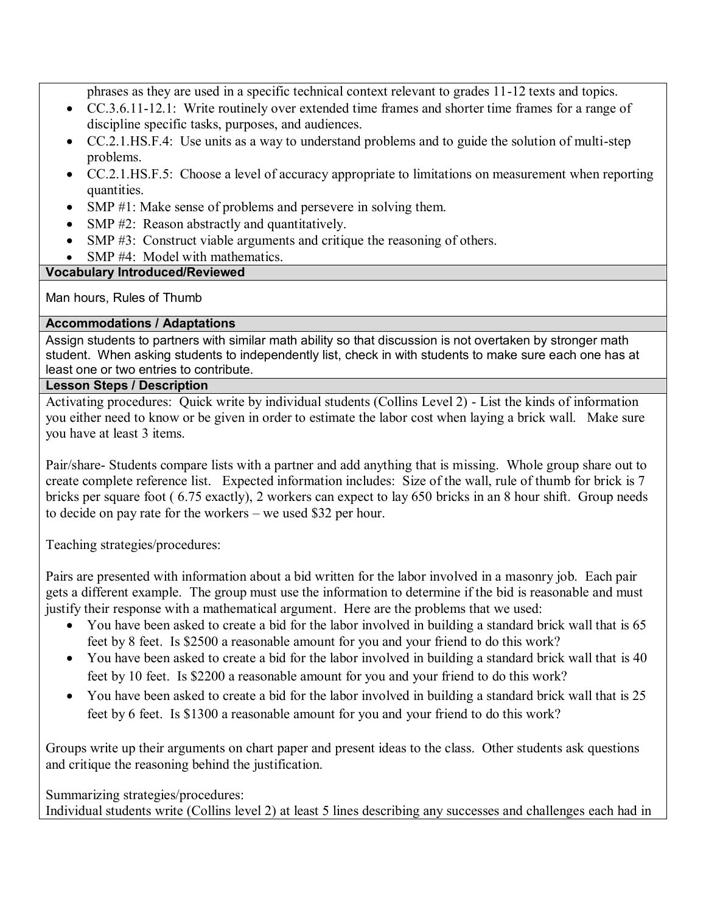phrases as they are used in a specific technical context relevant to grades 11-12 texts and topics.

- CC.3.6.11-12.1: Write routinely over extended time frames and shorter time frames for a range of discipline specific tasks, purposes, and audiences.
- CC.2.1.HS.F.4: Use units as a way to understand problems and to guide the solution of multi-step problems.
- CC.2.1.HS.F.5: Choose a level of accuracy appropriate to limitations on measurement when reporting quantities.
- SMP #1: Make sense of problems and persevere in solving them.
- SMP #2: Reason abstractly and quantitatively.
- SMP #3: Construct viable arguments and critique the reasoning of others.
- SMP #4: Model with mathematics.

## **Vocabulary Introduced/Reviewed**

Man hours, Rules of Thumb

## **Accommodations / Adaptations**

Assign students to partners with similar math ability so that discussion is not overtaken by stronger math student. When asking students to independently list, check in with students to make sure each one has at least one or two entries to contribute.

## **Lesson Steps / Description**

Activating procedures: Quick write by individual students (Collins Level 2) - List the kinds of information you either need to know or be given in order to estimate the labor cost when laying a brick wall. Make sure you have at least 3 items.

Pair/share- Students compare lists with a partner and add anything that is missing. Whole group share out to create complete reference list. Expected information includes: Size of the wall, rule of thumb for brick is 7 bricks per square foot ( 6.75 exactly), 2 workers can expect to lay 650 bricks in an 8 hour shift. Group needs to decide on pay rate for the workers – we used \$32 per hour.

Teaching strategies/procedures:

Pairs are presented with information about a bid written for the labor involved in a masonry job. Each pair gets a different example. The group must use the information to determine if the bid is reasonable and must justify their response with a mathematical argument. Here are the problems that we used:

- You have been asked to create a bid for the labor involved in building a standard brick wall that is 65 feet by 8 feet. Is \$2500 a reasonable amount for you and your friend to do this work?
- You have been asked to create a bid for the labor involved in building a standard brick wall that is 40 feet by 10 feet. Is \$2200 a reasonable amount for you and your friend to do this work?
- You have been asked to create a bid for the labor involved in building a standard brick wall that is 25 feet by 6 feet. Is \$1300 a reasonable amount for you and your friend to do this work?

Groups write up their arguments on chart paper and present ideas to the class. Other students ask questions and critique the reasoning behind the justification.

Summarizing strategies/procedures: Individual students write (Collins level 2) at least 5 lines describing any successes and challenges each had in